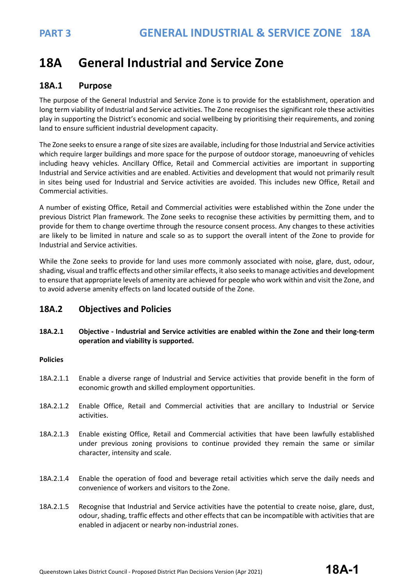# **18A General Industrial and Service Zone**

## **18A.1 Purpose**

The purpose of the General Industrial and Service Zone is to provide for the establishment, operation and long term viability of Industrial and Service activities. The Zone recognises the significant role these activities play in supporting the District's economic and social wellbeing by prioritising their requirements, and zoning land to ensure sufficient industrial development capacity.

The Zone seeks to ensure a range of site sizes are available, including for those Industrial and Service activities which require larger buildings and more space for the purpose of outdoor storage, manoeuvring of vehicles including heavy vehicles. Ancillary Office, Retail and Commercial activities are important in supporting Industrial and Service activities and are enabled. Activities and development that would not primarily result in sites being used for Industrial and Service activities are avoided. This includes new Office, Retail and Commercial activities.

A number of existing Office, Retail and Commercial activities were established within the Zone under the previous District Plan framework. The Zone seeks to recognise these activities by permitting them, and to provide for them to change overtime through the resource consent process. Any changes to these activities are likely to be limited in nature and scale so as to support the overall intent of the Zone to provide for Industrial and Service activities.

While the Zone seeks to provide for land uses more commonly associated with noise, glare, dust, odour, shading, visual and traffic effects and other similar effects, it also seeks to manage activities and development to ensure that appropriate levels of amenity are achieved for people who work within and visit the Zone, and to avoid adverse amenity effects on land located outside of the Zone.

## **18A.2 Objectives and Policies**

**18A.2.1 Objective - Industrial and Service activities are enabled within the Zone and their long-term operation and viability is supported.**

## **Policies**

- 18A.2.1.1 Enable a diverse range of Industrial and Service activities that provide benefit in the form of economic growth and skilled employment opportunities.
- 18A.2.1.2 Enable Office, Retail and Commercial activities that are ancillary to Industrial or Service activities.
- 18A.2.1.3 Enable existing Office, Retail and Commercial activities that have been lawfully established under previous zoning provisions to continue provided they remain the same or similar character, intensity and scale.
- 18A.2.1.4 Enable the operation of food and beverage retail activities which serve the daily needs and convenience of workers and visitors to the Zone.
- 18A.2.1.5 Recognise that Industrial and Service activities have the potential to create noise, glare, dust, odour, shading, traffic effects and other effects that can be incompatible with activities that are enabled in adjacent or nearby non-industrial zones.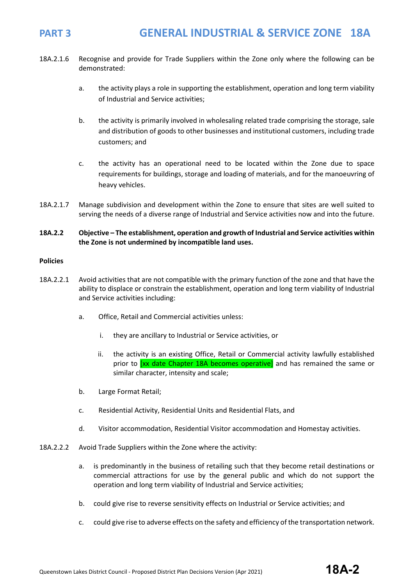- 18A.2.1.6 Recognise and provide for Trade Suppliers within the Zone only where the following can be demonstrated:
	- a. the activity plays a role in supporting the establishment, operation and long term viability of Industrial and Service activities;
	- b. the activity is primarily involved in wholesaling related trade comprising the storage, sale and distribution of goods to other businesses and institutional customers, including trade customers; and
	- c. the activity has an operational need to be located within the Zone due to space requirements for buildings, storage and loading of materials, and for the manoeuvring of heavy vehicles.
- 18A.2.1.7 Manage subdivision and development within the Zone to ensure that sites are well suited to serving the needs of a diverse range of Industrial and Service activities now and into the future.
- **18A.2.2 Objective – The establishment, operation and growth of Industrial and Service activities within the Zone is not undermined by incompatible land uses.**

#### **Policies**

- 18A.2.2.1 Avoid activities that are not compatible with the primary function of the zone and that have the ability to displace or constrain the establishment, operation and long term viability of Industrial and Service activities including:
	- a. Office, Retail and Commercial activities unless:
		- i. they are ancillary to Industrial or Service activities, or
		- ii. the activity is an existing Office, Retail or Commercial activity lawfully established prior to [xx date Chapter 18A becomes operative] and has remained the same or similar character, intensity and scale;
	- b. Large Format Retail;
	- c. Residential Activity, Residential Units and Residential Flats, and
	- d. Visitor accommodation, Residential Visitor accommodation and Homestay activities.
- 18A.2.2.2 Avoid Trade Suppliers within the Zone where the activity:
	- a. is predominantly in the business of retailing such that they become retail destinations or commercial attractions for use by the general public and which do not support the operation and long term viability of Industrial and Service activities;
	- b. could give rise to reverse sensitivity effects on Industrial or Service activities; and
	- c. could give rise to adverse effects on the safety and efficiency of the transportation network.

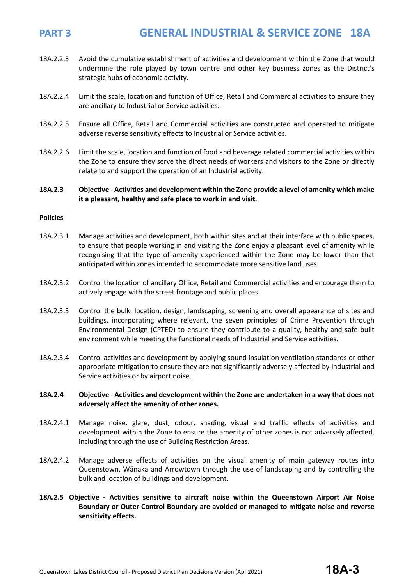- 18A.2.2.3 Avoid the cumulative establishment of activities and development within the Zone that would undermine the role played by town centre and other key business zones as the District's strategic hubs of economic activity.
- 18A.2.2.4 Limit the scale, location and function of Office, Retail and Commercial activities to ensure they are ancillary to Industrial or Service activities.
- 18A.2.2.5 Ensure all Office, Retail and Commercial activities are constructed and operated to mitigate adverse reverse sensitivity effects to Industrial or Service activities.
- 18A.2.2.6 Limit the scale, location and function of food and beverage related commercial activities within the Zone to ensure they serve the direct needs of workers and visitors to the Zone or directly relate to and support the operation of an Industrial activity.

### **18A.2.3 Objective - Activities and development within the Zone provide a level of amenity which make it a pleasant, healthy and safe place to work in and visit.**

### **Policies**

- 18A.2.3.1 Manage activities and development, both within sites and at their interface with public spaces, to ensure that people working in and visiting the Zone enjoy a pleasant level of amenity while recognising that the type of amenity experienced within the Zone may be lower than that anticipated within zones intended to accommodate more sensitive land uses.
- 18A.2.3.2 Control the location of ancillary Office, Retail and Commercial activities and encourage them to actively engage with the street frontage and public places.
- 18A.2.3.3 Control the bulk, location, design, landscaping, screening and overall appearance of sites and buildings, incorporating where relevant, the seven principles of Crime Prevention through Environmental Design (CPTED) to ensure they contribute to a quality, healthy and safe built environment while meeting the functional needs of Industrial and Service activities.
- 18A.2.3.4 Control activities and development by applying sound insulation ventilation standards or other appropriate mitigation to ensure they are not significantly adversely affected by Industrial and Service activities or by airport noise.

### **18A.2.4 Objective - Activities and development within the Zone are undertaken in a way that does not adversely affect the amenity of other zones.**

- 18A.2.4.1 Manage noise, glare, dust, odour, shading, visual and traffic effects of activities and development within the Zone to ensure the amenity of other zones is not adversely affected, including through the use of Building Restriction Areas.
- 18A.2.4.2 Manage adverse effects of activities on the visual amenity of main gateway routes into Queenstown, Wānaka and Arrowtown through the use of landscaping and by controlling the bulk and location of buildings and development.
- **18A.2.5 Objective - Activities sensitive to aircraft noise within the Queenstown Airport Air Noise Boundary or Outer Control Boundary are avoided or managed to mitigate noise and reverse sensitivity effects.**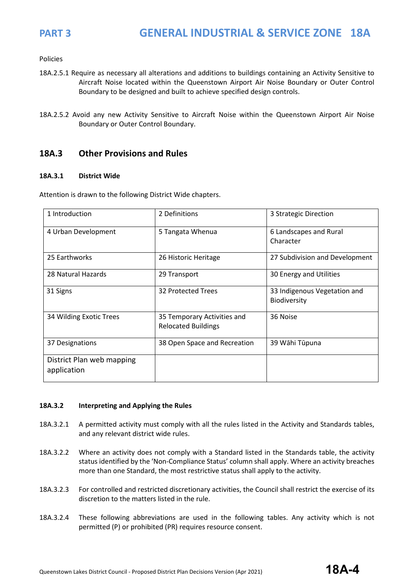Policies

- 18A.2.5.1 Require as necessary all alterations and additions to buildings containing an Activity Sensitive to Aircraft Noise located within the Queenstown Airport Air Noise Boundary or Outer Control Boundary to be designed and built to achieve specified design controls.
- 18A.2.5.2 Avoid any new Activity Sensitive to Aircraft Noise within the Queenstown Airport Air Noise Boundary or Outer Control Boundary.

## **18A.3 Other Provisions and Rules**

### **18A.3.1 District Wide**

Attention is drawn to the following District Wide chapters.

| 1 Introduction                           | 2 Definitions                                             | 3 Strategic Direction                        |
|------------------------------------------|-----------------------------------------------------------|----------------------------------------------|
| 4 Urban Development                      | 5 Tangata Whenua                                          | 6 Landscapes and Rural<br>Character          |
| 25 Earthworks                            | 26 Historic Heritage                                      | 27 Subdivision and Development               |
| 28 Natural Hazards                       | 29 Transport                                              | 30 Energy and Utilities                      |
| 31 Signs                                 | 32 Protected Trees                                        | 33 Indigenous Vegetation and<br>Biodiversity |
| 34 Wilding Exotic Trees                  | 35 Temporary Activities and<br><b>Relocated Buildings</b> | 36 Noise                                     |
| 37 Designations                          | 38 Open Space and Recreation                              | 39 Wāhi Tūpuna                               |
| District Plan web mapping<br>application |                                                           |                                              |

### **18A.3.2 Interpreting and Applying the Rules**

- 18A.3.2.1 A permitted activity must comply with all the rules listed in the Activity and Standards tables, and any relevant district wide rules.
- 18A.3.2.2 Where an activity does not comply with a Standard listed in the Standards table, the activity status identified by the 'Non-Compliance Status' column shall apply. Where an activity breaches more than one Standard, the most restrictive status shall apply to the activity.
- 18A.3.2.3 For controlled and restricted discretionary activities, the Council shall restrict the exercise of its discretion to the matters listed in the rule.
- 18A.3.2.4 These following abbreviations are used in the following tables. Any activity which is not permitted (P) or prohibited (PR) requires resource consent.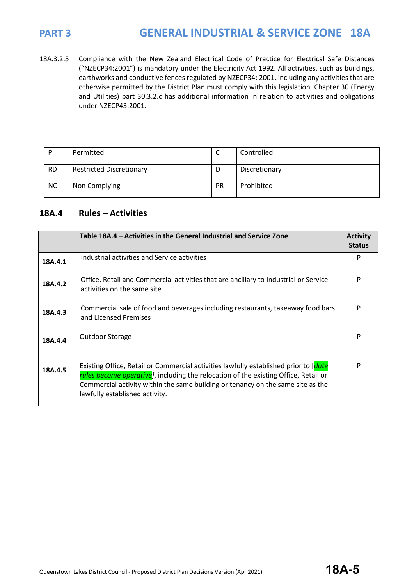18A.3.2.5 Compliance with the New Zealand Electrical Code of Practice for Electrical Safe Distances ("NZECP34:2001") is mandatory under the Electricity Act 1992. All activities, such as buildings, earthworks and conductive fences regulated by NZECP34: 2001, including any activities that are otherwise permitted by the District Plan must comply with this legislation. Chapter 30 (Energy and Utilities) part 30.3.2.c has additional information in relation to activities and obligations under NZECP43:2001.

| D         | Permitted                       | ◡         | Controlled    |
|-----------|---------------------------------|-----------|---------------|
| <b>RD</b> | <b>Restricted Discretionary</b> | D         | Discretionary |
| <b>NC</b> | Non Complying                   | <b>PR</b> | Prohibited    |

## **18A.4 Rules – Activities**

|         | Table 18A.4 – Activities in the General Industrial and Service Zone                                                                                                                                                                                                                              | <b>Activity</b><br><b>Status</b> |
|---------|--------------------------------------------------------------------------------------------------------------------------------------------------------------------------------------------------------------------------------------------------------------------------------------------------|----------------------------------|
| 18A.4.1 | Industrial activities and Service activities                                                                                                                                                                                                                                                     | P                                |
| 18A.4.2 | Office, Retail and Commercial activities that are ancillary to Industrial or Service<br>activities on the same site                                                                                                                                                                              | P                                |
| 18A.4.3 | Commercial sale of food and beverages including restaurants, takeaway food bars<br>and Licensed Premises                                                                                                                                                                                         | P                                |
| 18A.4.4 | Outdoor Storage                                                                                                                                                                                                                                                                                  | P                                |
| 18A.4.5 | Existing Office, Retail or Commercial activities lawfully established prior to [date<br>rules become operative], including the relocation of the existing Office, Retail or<br>Commercial activity within the same building or tenancy on the same site as the<br>lawfully established activity. | P                                |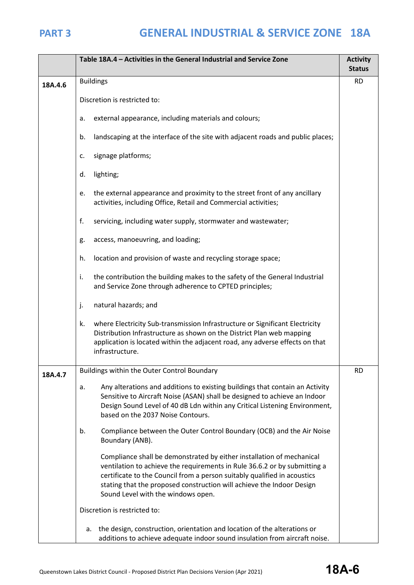|         | Table 18A.4 - Activities in the General Industrial and Service Zone                                                                                                                                                                                                                                                                           |           |
|---------|-----------------------------------------------------------------------------------------------------------------------------------------------------------------------------------------------------------------------------------------------------------------------------------------------------------------------------------------------|-----------|
| 18A.4.6 | <b>Buildings</b>                                                                                                                                                                                                                                                                                                                              | <b>RD</b> |
|         | Discretion is restricted to:                                                                                                                                                                                                                                                                                                                  |           |
|         | external appearance, including materials and colours;<br>a.                                                                                                                                                                                                                                                                                   |           |
|         | landscaping at the interface of the site with adjacent roads and public places;<br>b.                                                                                                                                                                                                                                                         |           |
|         | signage platforms;<br>c.                                                                                                                                                                                                                                                                                                                      |           |
|         | lighting;<br>d.                                                                                                                                                                                                                                                                                                                               |           |
|         | the external appearance and proximity to the street front of any ancillary<br>e.<br>activities, including Office, Retail and Commercial activities;                                                                                                                                                                                           |           |
|         | f.<br>servicing, including water supply, stormwater and wastewater;                                                                                                                                                                                                                                                                           |           |
|         | access, manoeuvring, and loading;<br>g.                                                                                                                                                                                                                                                                                                       |           |
|         | location and provision of waste and recycling storage space;<br>h.                                                                                                                                                                                                                                                                            |           |
|         | the contribution the building makes to the safety of the General Industrial<br>i.<br>and Service Zone through adherence to CPTED principles;                                                                                                                                                                                                  |           |
|         | j.<br>natural hazards; and                                                                                                                                                                                                                                                                                                                    |           |
|         | where Electricity Sub-transmission Infrastructure or Significant Electricity<br>k.<br>Distribution Infrastructure as shown on the District Plan web mapping<br>application is located within the adjacent road, any adverse effects on that<br>infrastructure.                                                                                |           |
| 18A.4.7 | Buildings within the Outer Control Boundary                                                                                                                                                                                                                                                                                                   |           |
|         | Any alterations and additions to existing buildings that contain an Activity<br>a.<br>Sensitive to Aircraft Noise (ASAN) shall be designed to achieve an Indoor<br>Design Sound Level of 40 dB Ldn within any Critical Listening Environment,<br>based on the 2037 Noise Contours.                                                            |           |
|         | Compliance between the Outer Control Boundary (OCB) and the Air Noise<br>b.<br>Boundary (ANB).                                                                                                                                                                                                                                                |           |
|         | Compliance shall be demonstrated by either installation of mechanical<br>ventilation to achieve the requirements in Rule 36.6.2 or by submitting a<br>certificate to the Council from a person suitably qualified in acoustics<br>stating that the proposed construction will achieve the Indoor Design<br>Sound Level with the windows open. |           |
|         | Discretion is restricted to:                                                                                                                                                                                                                                                                                                                  |           |
|         | the design, construction, orientation and location of the alterations or<br>а.<br>additions to achieve adequate indoor sound insulation from aircraft noise.                                                                                                                                                                                  |           |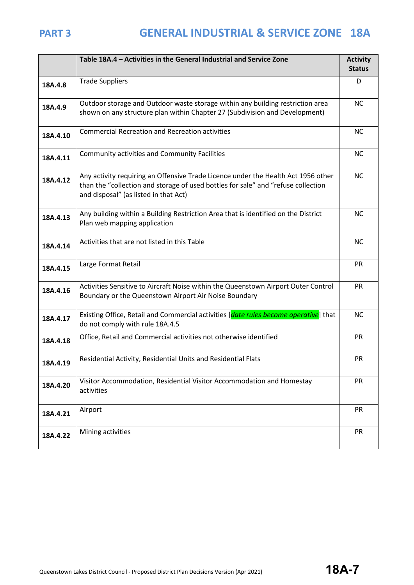|          | Table 18A.4 - Activities in the General Industrial and Service Zone                                                                                                                                             |           |
|----------|-----------------------------------------------------------------------------------------------------------------------------------------------------------------------------------------------------------------|-----------|
| 18A.4.8  | <b>Trade Suppliers</b>                                                                                                                                                                                          | D         |
| 18A.4.9  | Outdoor storage and Outdoor waste storage within any building restriction area<br>shown on any structure plan within Chapter 27 (Subdivision and Development)                                                   | <b>NC</b> |
| 18A.4.10 | <b>Commercial Recreation and Recreation activities</b>                                                                                                                                                          |           |
| 18A.4.11 | <b>Community activities and Community Facilities</b>                                                                                                                                                            | <b>NC</b> |
| 18A.4.12 | Any activity requiring an Offensive Trade Licence under the Health Act 1956 other<br>than the "collection and storage of used bottles for sale" and "refuse collection<br>and disposal" (as listed in that Act) | <b>NC</b> |
| 18A.4.13 | Any building within a Building Restriction Area that is identified on the District<br>Plan web mapping application                                                                                              | <b>NC</b> |
| 18A.4.14 | Activities that are not listed in this Table                                                                                                                                                                    | <b>NC</b> |
| 18A.4.15 | Large Format Retail                                                                                                                                                                                             | <b>PR</b> |
| 18A.4.16 | Activities Sensitive to Aircraft Noise within the Queenstown Airport Outer Control<br>Boundary or the Queenstown Airport Air Noise Boundary                                                                     | PR        |
| 18A.4.17 | Existing Office, Retail and Commercial activities [date rules become operative] that<br>do not comply with rule 18A.4.5                                                                                         | <b>NC</b> |
| 18A.4.18 | Office, Retail and Commercial activities not otherwise identified                                                                                                                                               | <b>PR</b> |
| 18A.4.19 | Residential Activity, Residential Units and Residential Flats                                                                                                                                                   | PR        |
| 18A.4.20 | Visitor Accommodation, Residential Visitor Accommodation and Homestay<br>activities                                                                                                                             | PR        |
| 18A.4.21 | Airport                                                                                                                                                                                                         | <b>PR</b> |
| 18A.4.22 | Mining activities                                                                                                                                                                                               | PR        |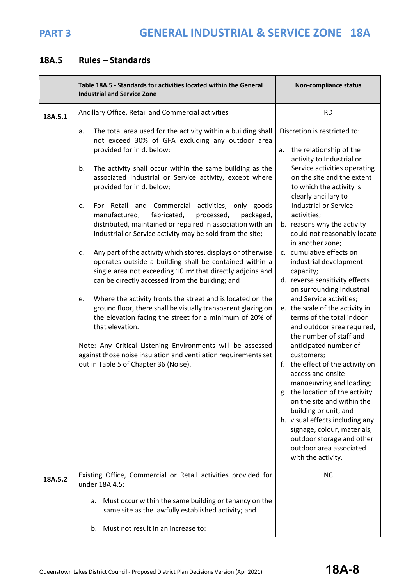## **18A.5 Rules – Standards**

|         | Table 18A.5 - Standards for activities located within the General<br><b>Industrial and Service Zone</b>                                                                                                                                                                                                                                                                                                                                                                                                                                                                                                                                                                                                                                                                                                                                                                                                                                                                                                                                                                                                                                                                                                         | <b>Non-compliance status</b>                                                                                                                                                                                                                                                                                                                                                                                                                                                                                                                                                                                                                                                                                                                                                                                                                                                                                                                                                                              |
|---------|-----------------------------------------------------------------------------------------------------------------------------------------------------------------------------------------------------------------------------------------------------------------------------------------------------------------------------------------------------------------------------------------------------------------------------------------------------------------------------------------------------------------------------------------------------------------------------------------------------------------------------------------------------------------------------------------------------------------------------------------------------------------------------------------------------------------------------------------------------------------------------------------------------------------------------------------------------------------------------------------------------------------------------------------------------------------------------------------------------------------------------------------------------------------------------------------------------------------|-----------------------------------------------------------------------------------------------------------------------------------------------------------------------------------------------------------------------------------------------------------------------------------------------------------------------------------------------------------------------------------------------------------------------------------------------------------------------------------------------------------------------------------------------------------------------------------------------------------------------------------------------------------------------------------------------------------------------------------------------------------------------------------------------------------------------------------------------------------------------------------------------------------------------------------------------------------------------------------------------------------|
| 18A.5.1 | Ancillary Office, Retail and Commercial activities                                                                                                                                                                                                                                                                                                                                                                                                                                                                                                                                                                                                                                                                                                                                                                                                                                                                                                                                                                                                                                                                                                                                                              | <b>RD</b>                                                                                                                                                                                                                                                                                                                                                                                                                                                                                                                                                                                                                                                                                                                                                                                                                                                                                                                                                                                                 |
|         | The total area used for the activity within a building shall<br>a.<br>not exceed 30% of GFA excluding any outdoor area<br>provided for in d. below;<br>The activity shall occur within the same building as the<br>b.<br>associated Industrial or Service activity, except where<br>provided for in d. below;<br>For Retail and Commercial<br>activities, only goods<br>c.<br>fabricated,<br>manufactured,<br>processed,<br>packaged,<br>distributed, maintained or repaired in association with an<br>Industrial or Service activity may be sold from the site;<br>Any part of the activity which stores, displays or otherwise<br>d.<br>operates outside a building shall be contained within a<br>single area not exceeding 10 $m2$ that directly adjoins and<br>can be directly accessed from the building; and<br>Where the activity fronts the street and is located on the<br>e.<br>ground floor, there shall be visually transparent glazing on<br>the elevation facing the street for a minimum of 20% of<br>that elevation.<br>Note: Any Critical Listening Environments will be assessed<br>against those noise insulation and ventilation requirements set<br>out in Table 5 of Chapter 36 (Noise). | Discretion is restricted to:<br>the relationship of the<br>a.<br>activity to Industrial or<br>Service activities operating<br>on the site and the extent<br>to which the activity is<br>clearly ancillary to<br><b>Industrial or Service</b><br>activities;<br>b. reasons why the activity<br>could not reasonably locate<br>in another zone;<br>c. cumulative effects on<br>industrial development<br>capacity;<br>d. reverse sensitivity effects<br>on surrounding Industrial<br>and Service activities;<br>e. the scale of the activity in<br>terms of the total indoor<br>and outdoor area required,<br>the number of staff and<br>anticipated number of<br>customers;<br>f. the effect of the activity on<br>access and onsite<br>manoeuvring and loading;<br>g. the location of the activity<br>on the site and within the<br>building or unit; and<br>h. visual effects including any<br>signage, colour, materials,<br>outdoor storage and other<br>outdoor area associated<br>with the activity. |
| 18A.5.2 | Existing Office, Commercial or Retail activities provided for<br>under 18A.4.5:                                                                                                                                                                                                                                                                                                                                                                                                                                                                                                                                                                                                                                                                                                                                                                                                                                                                                                                                                                                                                                                                                                                                 | <b>NC</b>                                                                                                                                                                                                                                                                                                                                                                                                                                                                                                                                                                                                                                                                                                                                                                                                                                                                                                                                                                                                 |
|         | a. Must occur within the same building or tenancy on the<br>same site as the lawfully established activity; and                                                                                                                                                                                                                                                                                                                                                                                                                                                                                                                                                                                                                                                                                                                                                                                                                                                                                                                                                                                                                                                                                                 |                                                                                                                                                                                                                                                                                                                                                                                                                                                                                                                                                                                                                                                                                                                                                                                                                                                                                                                                                                                                           |
|         | Must not result in an increase to:<br>b.                                                                                                                                                                                                                                                                                                                                                                                                                                                                                                                                                                                                                                                                                                                                                                                                                                                                                                                                                                                                                                                                                                                                                                        |                                                                                                                                                                                                                                                                                                                                                                                                                                                                                                                                                                                                                                                                                                                                                                                                                                                                                                                                                                                                           |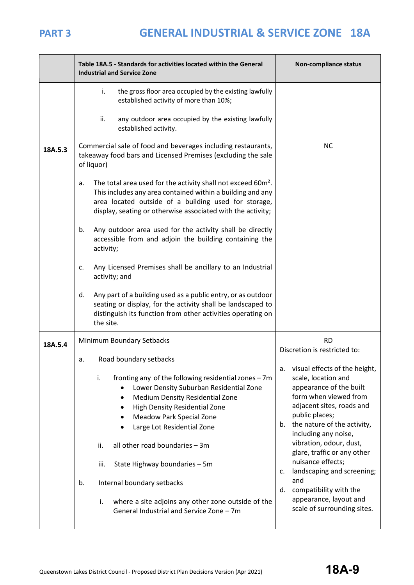|         | Table 18A.5 - Standards for activities located within the General<br><b>Industrial and Service Zone</b>                                                                                                                                                                                                                                                                                                                                                                                         | Non-compliance status                                                                                                                                                                                                                                                                                                                                                                               |
|---------|-------------------------------------------------------------------------------------------------------------------------------------------------------------------------------------------------------------------------------------------------------------------------------------------------------------------------------------------------------------------------------------------------------------------------------------------------------------------------------------------------|-----------------------------------------------------------------------------------------------------------------------------------------------------------------------------------------------------------------------------------------------------------------------------------------------------------------------------------------------------------------------------------------------------|
|         | i.<br>the gross floor area occupied by the existing lawfully<br>established activity of more than 10%;                                                                                                                                                                                                                                                                                                                                                                                          |                                                                                                                                                                                                                                                                                                                                                                                                     |
|         | ii.<br>any outdoor area occupied by the existing lawfully<br>established activity.                                                                                                                                                                                                                                                                                                                                                                                                              |                                                                                                                                                                                                                                                                                                                                                                                                     |
| 18A.5.3 | Commercial sale of food and beverages including restaurants,<br>takeaway food bars and Licensed Premises (excluding the sale<br>of liquor)                                                                                                                                                                                                                                                                                                                                                      | <b>NC</b>                                                                                                                                                                                                                                                                                                                                                                                           |
|         | The total area used for the activity shall not exceed 60m <sup>2</sup> .<br>a.<br>This includes any area contained within a building and any<br>area located outside of a building used for storage,<br>display, seating or otherwise associated with the activity;                                                                                                                                                                                                                             |                                                                                                                                                                                                                                                                                                                                                                                                     |
|         | Any outdoor area used for the activity shall be directly<br>b.<br>accessible from and adjoin the building containing the<br>activity;                                                                                                                                                                                                                                                                                                                                                           |                                                                                                                                                                                                                                                                                                                                                                                                     |
|         | Any Licensed Premises shall be ancillary to an Industrial<br>c.<br>activity; and                                                                                                                                                                                                                                                                                                                                                                                                                |                                                                                                                                                                                                                                                                                                                                                                                                     |
|         | Any part of a building used as a public entry, or as outdoor<br>d.<br>seating or display, for the activity shall be landscaped to<br>distinguish its function from other activities operating on<br>the site.                                                                                                                                                                                                                                                                                   |                                                                                                                                                                                                                                                                                                                                                                                                     |
| 18A.5.4 | Minimum Boundary Setbacks                                                                                                                                                                                                                                                                                                                                                                                                                                                                       | <b>RD</b>                                                                                                                                                                                                                                                                                                                                                                                           |
|         | Road boundary setbacks<br>а.                                                                                                                                                                                                                                                                                                                                                                                                                                                                    | Discretion is restricted to:<br>visual effects of the height,<br>a.                                                                                                                                                                                                                                                                                                                                 |
|         | i.<br>fronting any of the following residential zones - 7m<br>Lower Density Suburban Residential Zone<br>Medium Density Residential Zone<br>$\bullet$<br>High Density Residential Zone<br>٠<br><b>Meadow Park Special Zone</b><br>٠<br>Large Lot Residential Zone<br>all other road boundaries - 3m<br>ii.<br>State Highway boundaries - 5m<br>iii.<br>Internal boundary setbacks<br>b.<br>i.<br>where a site adjoins any other zone outside of the<br>General Industrial and Service Zone - 7m | scale, location and<br>appearance of the built<br>form when viewed from<br>adjacent sites, roads and<br>public places;<br>b. the nature of the activity,<br>including any noise,<br>vibration, odour, dust,<br>glare, traffic or any other<br>nuisance effects;<br>landscaping and screening;<br>c.<br>and<br>compatibility with the<br>d.<br>appearance, layout and<br>scale of surrounding sites. |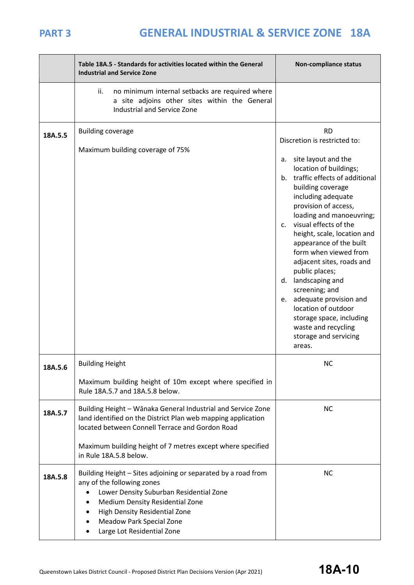|         | Table 18A.5 - Standards for activities located within the General<br><b>Industrial and Service Zone</b>                                                                                                                                                                     | Non-compliance status                                                                                                                                                                                                                                                                                                                                                                                                                                                                                                                                                                           |
|---------|-----------------------------------------------------------------------------------------------------------------------------------------------------------------------------------------------------------------------------------------------------------------------------|-------------------------------------------------------------------------------------------------------------------------------------------------------------------------------------------------------------------------------------------------------------------------------------------------------------------------------------------------------------------------------------------------------------------------------------------------------------------------------------------------------------------------------------------------------------------------------------------------|
|         | ii.<br>no minimum internal setbacks are required where<br>a site adjoins other sites within the General<br>Industrial and Service Zone                                                                                                                                      |                                                                                                                                                                                                                                                                                                                                                                                                                                                                                                                                                                                                 |
| 18A.5.5 | <b>Building coverage</b><br>Maximum building coverage of 75%                                                                                                                                                                                                                | <b>RD</b><br>Discretion is restricted to:<br>site layout and the<br>a.<br>location of buildings;<br>traffic effects of additional<br>b.<br>building coverage<br>including adequate<br>provision of access,<br>loading and manoeuvring;<br>visual effects of the<br>C.<br>height, scale, location and<br>appearance of the built<br>form when viewed from<br>adjacent sites, roads and<br>public places;<br>landscaping and<br>d.<br>screening; and<br>adequate provision and<br>e.<br>location of outdoor<br>storage space, including<br>waste and recycling<br>storage and servicing<br>areas. |
| 18A.5.6 | <b>Building Height</b><br>Maximum building height of 10m except where specified in<br>Rule 18A.5.7 and 18A.5.8 below.                                                                                                                                                       | <b>NC</b>                                                                                                                                                                                                                                                                                                                                                                                                                                                                                                                                                                                       |
| 18A.5.7 | Building Height - Wānaka General Industrial and Service Zone<br>land identified on the District Plan web mapping application<br>located between Connell Terrace and Gordon Road<br>Maximum building height of 7 metres except where specified<br>in Rule 18A.5.8 below.     | <b>NC</b>                                                                                                                                                                                                                                                                                                                                                                                                                                                                                                                                                                                       |
| 18A.5.8 | Building Height - Sites adjoining or separated by a road from<br>any of the following zones<br>Lower Density Suburban Residential Zone<br>Medium Density Residential Zone<br>High Density Residential Zone<br><b>Meadow Park Special Zone</b><br>Large Lot Residential Zone | <b>NC</b>                                                                                                                                                                                                                                                                                                                                                                                                                                                                                                                                                                                       |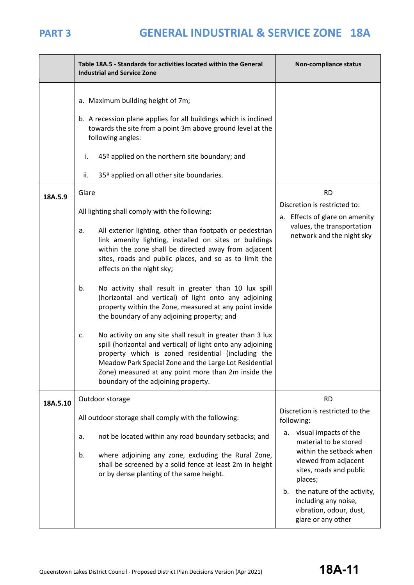|          | Table 18A.5 - Standards for activities located within the General<br><b>Industrial and Service Zone</b>                                                                                                                                                                                                                                       | Non-compliance status                                                                                      |
|----------|-----------------------------------------------------------------------------------------------------------------------------------------------------------------------------------------------------------------------------------------------------------------------------------------------------------------------------------------------|------------------------------------------------------------------------------------------------------------|
|          | a. Maximum building height of 7m;<br>b. A recession plane applies for all buildings which is inclined                                                                                                                                                                                                                                         |                                                                                                            |
|          | towards the site from a point 3m above ground level at the<br>following angles:                                                                                                                                                                                                                                                               |                                                                                                            |
|          | 45º applied on the northern site boundary; and<br>i.                                                                                                                                                                                                                                                                                          |                                                                                                            |
|          | 35º applied on all other site boundaries.<br>ii.                                                                                                                                                                                                                                                                                              |                                                                                                            |
| 18A.5.9  | Glare                                                                                                                                                                                                                                                                                                                                         | <b>RD</b>                                                                                                  |
|          | All lighting shall comply with the following:                                                                                                                                                                                                                                                                                                 | Discretion is restricted to:<br>a. Effects of glare on amenity                                             |
|          | All exterior lighting, other than footpath or pedestrian<br>a.<br>link amenity lighting, installed on sites or buildings<br>within the zone shall be directed away from adjacent<br>sites, roads and public places, and so as to limit the<br>effects on the night sky;                                                                       | values, the transportation<br>network and the night sky                                                    |
|          | No activity shall result in greater than 10 lux spill<br>b.<br>(horizontal and vertical) of light onto any adjoining<br>property within the Zone, measured at any point inside<br>the boundary of any adjoining property; and                                                                                                                 |                                                                                                            |
|          | No activity on any site shall result in greater than 3 lux<br>c.<br>spill (horizontal and vertical) of light onto any adjoining<br>property which is zoned residential (including the<br>Meadow Park Special Zone and the Large Lot Residential<br>Zone) measured at any point more than 2m inside the<br>boundary of the adjoining property. |                                                                                                            |
| 18A.5.10 | Outdoor storage                                                                                                                                                                                                                                                                                                                               | <b>RD</b>                                                                                                  |
|          | All outdoor storage shall comply with the following:                                                                                                                                                                                                                                                                                          | Discretion is restricted to the<br>following:                                                              |
|          | not be located within any road boundary setbacks; and<br>a.                                                                                                                                                                                                                                                                                   | visual impacts of the<br>а.<br>material to be stored<br>within the setback when                            |
|          | where adjoining any zone, excluding the Rural Zone,<br>b.<br>shall be screened by a solid fence at least 2m in height<br>or by dense planting of the same height.                                                                                                                                                                             | viewed from adjacent<br>sites, roads and public<br>places;                                                 |
|          |                                                                                                                                                                                                                                                                                                                                               | the nature of the activity,<br>b.<br>including any noise,<br>vibration, odour, dust,<br>glare or any other |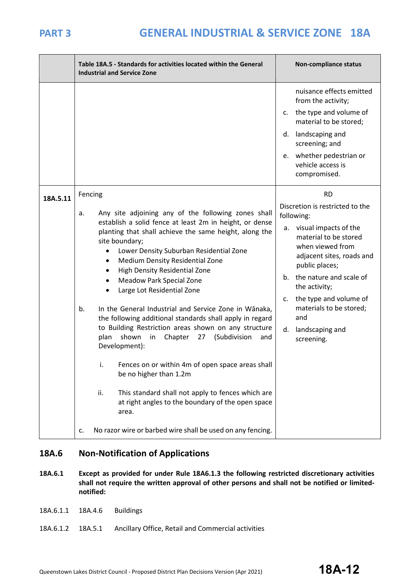$\overline{\phantom{0}}$ 

|          | Table 18A.5 - Standards for activities located within the General<br><b>Industrial and Service Zone</b>                                                                                                                        | Non-compliance status                                                                                                   |
|----------|--------------------------------------------------------------------------------------------------------------------------------------------------------------------------------------------------------------------------------|-------------------------------------------------------------------------------------------------------------------------|
|          |                                                                                                                                                                                                                                | nuisance effects emitted<br>from the activity;                                                                          |
|          |                                                                                                                                                                                                                                | the type and volume of<br>c.<br>material to be stored;                                                                  |
|          |                                                                                                                                                                                                                                | landscaping and<br>d.<br>screening; and                                                                                 |
|          |                                                                                                                                                                                                                                | e. whether pedestrian or<br>vehicle access is<br>compromised.                                                           |
| 18A.5.11 | Fencing                                                                                                                                                                                                                        | <b>RD</b>                                                                                                               |
|          | Any site adjoining any of the following zones shall<br>a.                                                                                                                                                                      | Discretion is restricted to the<br>following:                                                                           |
|          | establish a solid fence at least 2m in height, or dense<br>planting that shall achieve the same height, along the<br>site boundary;<br>Lower Density Suburban Residential Zone<br>Medium Density Residential Zone<br>$\bullet$ | visual impacts of the<br>а.<br>material to be stored<br>when viewed from<br>adjacent sites, roads and<br>public places; |
|          | High Density Residential Zone<br>Meadow Park Special Zone<br>$\bullet$<br>Large Lot Residential Zone                                                                                                                           | the nature and scale of<br>b.<br>the activity;                                                                          |
|          | In the General Industrial and Service Zone in Wānaka,<br>b.<br>the following additional standards shall apply in regard                                                                                                        | the type and volume of<br>$\mathsf{C}$ .<br>materials to be stored;<br>and                                              |
|          | to Building Restriction areas shown on any structure<br>shown<br>Chapter<br>27<br>(Subdivision<br>plan<br>in<br>and<br>Development):                                                                                           | landscaping and<br>d.<br>screening.                                                                                     |
|          | i.<br>Fences on or within 4m of open space areas shall<br>be no higher than 1.2m                                                                                                                                               |                                                                                                                         |
|          | ii.<br>This standard shall not apply to fences which are<br>at right angles to the boundary of the open space<br>area.                                                                                                         |                                                                                                                         |
|          | No razor wire or barbed wire shall be used on any fencing.<br>c.                                                                                                                                                               |                                                                                                                         |

## **18A.6 Non-Notification of Applications**

- **18A.6.1 Except as provided for under Rule 18A6.1.3 the following restricted discretionary activities shall not require the written approval of other persons and shall not be notified or limitednotified:**
- 18A.6.1.1 18A.4.6 Buildings
- 18A.6.1.2 18A.5.1 Ancillary Office, Retail and Commercial activities